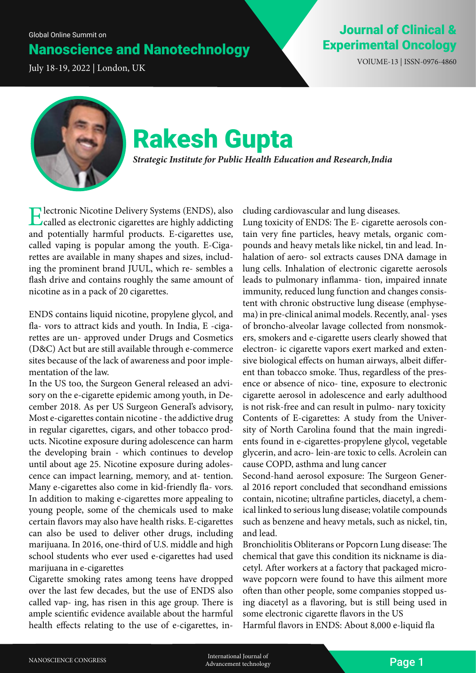## Nanoscience and Nanotechnology

July 18-19, 2022 | London, UK VOlUME-13 | ISSN-0976-4860

### Journal of Clinical & Experimental Oncology



# Rakesh Gupta

*Strategic Institute for Public Health Education and Research, India*

Electronic Nicotine Delivery Systems (ENDS), also called as electronic cigarettes are highly addicting and potentially harmful products. E-cigarettes use, called vaping is popular among the youth. E-Cigarettes are available in many shapes and sizes, including the prominent brand JUUL, which re- sembles a flash drive and contains roughly the same amount of nicotine as in a pack of 20 cigarettes.

ENDS contains liquid nicotine, propylene glycol, and fla- vors to attract kids and youth. In India, E -cigarettes are un- approved under Drugs and Cosmetics (D&C) Act but are still available through e-commerce sites because of the lack of awareness and poor implementation of the law.

In the US too, the Surgeon General released an advisory on the e-cigarette epidemic among youth, in December 2018. As per US Surgeon General's advisory, Most e-cigarettes contain nicotine - the addictive drug in regular cigarettes, cigars, and other tobacco products. Nicotine exposure during adolescence can harm the developing brain - which continues to develop until about age 25. Nicotine exposure during adolescence can impact learning, memory, and at- tention. Many e-cigarettes also come in kid-friendly fla- vors. In addition to making e-cigarettes more appealing to young people, some of the chemicals used to make certain flavors may also have health risks. E-cigarettes can also be used to deliver other drugs, including marijuana. In 2016, one-third of U.S. middle and high school students who ever used e-cigarettes had used marijuana in e-cigarettes

Cigarette smoking rates among teens have dropped over the last few decades, but the use of ENDS also called vap- ing, has risen in this age group. There is ample scientific evidence available about the harmful health effects relating to the use of e-cigarettes, including cardiovascular and lung diseases.

Lung toxicity of ENDS: The E- cigarette aerosols contain very fine particles, heavy metals, organic compounds and heavy metals like nickel, tin and lead. Inhalation of aero- sol extracts causes DNA damage in lung cells. Inhalation of electronic cigarette aerosols leads to pulmonary inflamma- tion, impaired innate immunity, reduced lung function and changes consistent with chronic obstructive lung disease (emphysema) in pre-clinical animal models. Recently, anal- yses of broncho-alveolar lavage collected from nonsmokers, smokers and e-cigarette users clearly showed that electron- ic cigarette vapors exert marked and extensive biological effects on human airways, albeit different than tobacco smoke. Thus, regardless of the presence or absence of nico- tine, exposure to electronic cigarette aerosol in adolescence and early adulthood is not risk-free and can result in pulmo- nary toxicity Contents of E-cigarettes: A study from the University of North Carolina found that the main ingredients found in e-cigarettes-propylene glycol, vegetable glycerin, and acro- lein-are toxic to cells. Acrolein can cause COPD, asthma and lung cancer

Second-hand aerosol exposure: The Surgeon General 2016 report concluded that secondhand emissions contain, nicotine; ultrafine particles, diacetyl, a chemical linked to serious lung disease; volatile compounds such as benzene and heavy metals, such as nickel, tin, and lead.

Bronchiolitis Obliterans or Popcorn Lung disease: The chemical that gave this condition its nickname is diacetyl. After workers at a factory that packaged microwave popcorn were found to have this ailment more often than other people, some companies stopped using diacetyl as a flavoring, but is still being used in some electronic cigarette flavors in the US Harmful flavors in ENDS: About 8,000 e-liquid fla

NANOSCIENCE CONGRESS FOR THE RESERVE THE CONGRESS Advancement technology of the contract of the contract of the contract of the contract of the contract of the contract of the contract of the contract of the contract of th Advancement technology